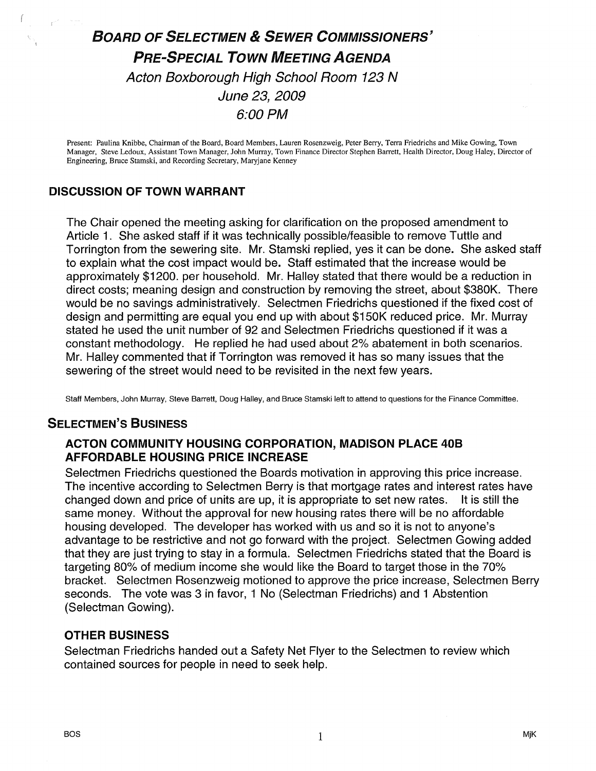# BOARD OF SELECTMEN & SEWER COMMISSIONERS' PRE-SPECIAL TOWN MEETING AGENDA Acton Boxborough High School Room 123 N June 23, 2009 6:00 PM

Present: Paulina Knibbe, Chairman of the Board, Board Members, Lauren Rosenzweig, Peter Berry, Terra Friedrichs and Mike Gowing, Town Manager, Steve Ledoux, Assistant Town Manager, John Murray, Town Finance Director Stephen Barrett, Health Director, Doug Haley, Director of Engineering, Bruce Stamski, and Recording Secretary, Maryjane Kenney

## DISCUSSION OF TOWN WARRANT

The Chair opened the meeting asking for clarification on the proposed amendment to Article 1. She asked staff if it was technically possible/feasible to remove Tuttle and Torrington from the sewering site. Mr. Stamski replied, yes it can be done. She asked staff to explain what the cost impact would be. Staff estimated that the increase would be approximately \$1200. per household. Mr. Halley stated that there would be a reduction in direct costs; meaning design and construction by removing the street, about \$380K. There would be no savings administratively. Selectmen Friedrichs questioned if the fixed cost of design and permitting are equal you end up with about \$150K reduced price. Mr. Murray stated he used the unit number of 92 and Selectmen Friedrichs questioned if it was a constant methodology. He replied he had used about 2% abatement in both scenarios. Mr. Halley commented that if Torrington was removed it has so many issues that the sewering of the street would need to be revisited in the next few years.

Staff Members, John Murray, Steve Barrett, Doug Halley, and Bruce Stamski left to attend to questions for the Finance Committee.

## SELECTMEN'S BUSINESS

#### ACTON COMMUNITY HOUSING CORPORATION, MADISON PLACE 40B AFFORDABLE HOUSING PRICE INCREASE

Selectmen Friedrichs questioned the Boards motivation in approving this price increase. The incentive according to Selectmen Berry is that mortgage rates and interest rates have changed down and price of units are up, it is appropriate to set new rates. It is still the same money. Without the approval for new housing rates there will be no affordable housing developed. The developer has worked with us and so it is not to anyone's advantage to be restrictive and not go forward with the project. Selectmen Gowing added that they are just trying to stay in a formula. Selectmen Friedrichs stated that the Board is targeting 80% of medium income she would like the Board to target those in the 70% bracket. Selectmen Rosenzweig motioned to approve the price increase, Selectmen Berry seconds. The vote was 3 in favor, <sup>1</sup> No (Selectman Friedrichs) and <sup>1</sup> Abstention (Selectman Gowing).

#### OTHER BUSINESS

Selectman Friedrichs handed out a Safety Net Flyer to the Selectmen to review which contained sources for people in need to seek help.